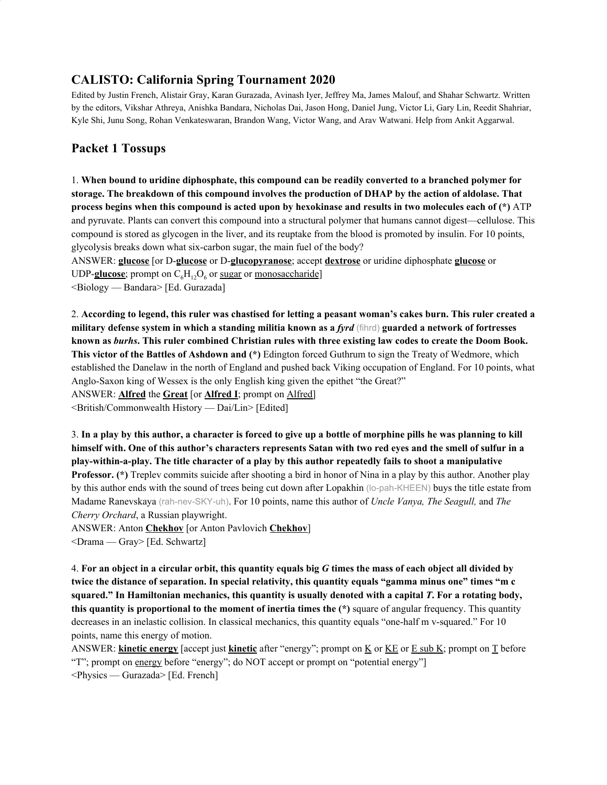# **CALISTO: California Spring Tournament 2020**

Edited by Justin French, Alistair Gray, Karan Gurazada, Avinash Iyer, Jeffrey Ma, James Malouf, and Shahar Schwartz. Written by the editors, Vikshar Athreya, Anishka Bandara, Nicholas Dai, Jason Hong, Daniel Jung, Victor Li, Gary Lin, Reedit Shahriar, Kyle Shi, Junu Song, Rohan Venkateswaran, Brandon Wang, Victor Wang, and Arav Watwani. Help from Ankit Aggarwal.

## **Packet 1 Tossups**

1. **When bound to uridine diphosphate, this compound can be readily converted to a branched polymer for storage. The breakdown of this compound involves the production of DHAP by the action of aldolase. That** process begins when this compound is acted upon by hexokinase and results in two molecules each of (\*) ATP and pyruvate. Plants can convert this compound into a structural polymer that humans cannot digest—cellulose. This compound is stored as glycogen in the liver, and its reuptake from the blood is promoted by insulin. For 10 points, glycolysis breaks down what six-carbon sugar, the main fuel of the body?

ANSWER: **glucose** [or D-**glucose** or D-**glucopyranose**; accept **dextrose** or uridine diphosphate **glucose** or UDP-**glucose**; prompt on  $C_6H_{12}O_6$  or sugar or monosaccharide]

<Biology — Bandara> [Ed. Gurazada]

2. According to legend, this ruler was chastised for letting a peasant woman's cakes burn. This ruler created a military defense system in which a standing militia known as a fyrd (fihrd) guarded a network of fortresses known as burhs. This ruler combined Christian rules with three existing law codes to create the Doom Book. **This victor of the Battles of Ashdown and (\*)** Edington forced Guthrum to sign the Treaty of Wedmore, which established the Danelaw in the north of England and pushed back Viking occupation of England. For 10 points, what Anglo-Saxon king of Wessex is the only English king given the epithet "the Great?"

ANSWER: **Alfred** the **Great** [or **Alfred I**; prompt on Alfred]

<British/Commonwealth History — Dai/Lin> [Edited]

3. In a play by this author, a character is forced to give up a bottle of morphine pills he was planning to kill himself with. One of this author's characters represents Satan with two red eves and the smell of sulfur in a **play-within-a-play. The title character of a play by this author repeatedly fails to shoot a manipulative Professor. (\*)** Treplev commits suicide after shooting a bird in honor of Nina in a play by this author. Another play by this author ends with the sound of trees being cut down after Lopakhin (lo-pah-KHEEN) buys the title estate from Madame Ranevskaya (rah-nev-SKY-uh). For 10 points, name this author of *Uncle Vanya, The Seagull,* and *The Cherry Orchard*, a Russian playwright.

ANSWER: Anton **Chekhov** [or Anton Pavlovich **Chekhov**]

<Drama — Gray> [Ed. Schwartz]

4. For an object in a circular orbit, this quantity equals big  $G$  times the mass of each object all divided by twice the distance of separation. In special relativity, this quantity equals "gamma minus one" times "m c squared." In Hamiltonian mechanics, this quantity is usually denoted with a capital  $T$ . For a rotating body, **this quantity is proportional to the moment of inertia times the (\*)** square of angular frequency. This quantity decreases in an inelastic collision. In classical mechanics, this quantity equals "one-half m v-squared." For 10 points, name this energy of motion.

ANSWER: **kinetic energy** [accept just **kinetic** after "energy"; prompt on K or KE or E sub K; prompt on T before "T"; prompt on energy before "energy"; do NOT accept or prompt on "potential energy"] <Physics — Gurazada> [Ed. French]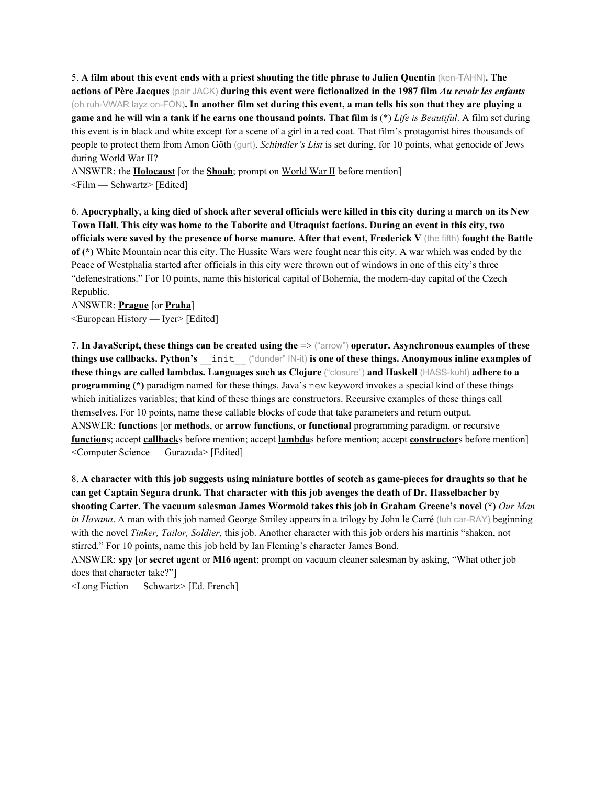5. A film about this event ends with a priest shouting the title phrase to Julien Quentin (ken-TAHN). The actions of Père Jacques (pair JACK) during this event were fictionalized in the 1987 film Au revoir les enfants (oh ruh-VWAR layz on-FON). In another film set during this event, a man tells his son that they are playing a game and he will win a tank if he earns one thousand points. That film is  $(*)$  Life is Beautiful. A film set during this event is in black and white except for a scene of a girl in a red coat. That film's protagonist hires thousands of people to protect them from Amon Göth (gurt). *Schindler's List* is set during, for 10 points, what genocide of Jews during World War II?

ANSWER: the **Holocaust** [or the **Shoah**; prompt on World War II before mention] <Film — Schwartz> [Edited]

6. Apocryphally, a king died of shock after several officials were killed in this city during a march on its New Town Hall. This city was home to the Taborite and Utraquist factions. During an event in this city, two officials were saved by the presence of horse manure. After that event, Frederick  $V$  (the fifth) fought the Battle **of (\*)** White Mountain near this city. The Hussite Wars were fought near this city. A war which was ended by the Peace of Westphalia started after officials in this city were thrown out of windows in one of this city's three "defenestrations." For 10 points, name this historical capital of Bohemia, the modern-day capital of the Czech Republic.

ANSWER: **Prague** [or **Praha**] <European History — Iyer> [Edited]

7. **In JavaScript, these things can be created using the** => ("arrow") **operator. Asynchronous examples of these things use callbacks. Python's** \_\_init\_\_ ("dunder" IN-it) **is one of these things. Anonymous inline examples of these things are called lambdas. Languages such as Clojure** ("closure") **and Haskell** (HASS-kuhl) **adhere to a programming (\*)** paradigm named for these things. Java's new keyword invokes a special kind of these things which initializes variables; that kind of these things are constructors. Recursive examples of these things call themselves. For 10 points, name these callable blocks of code that take parameters and return output. ANSWER: **function**s [or **method**s, or **arrow function**s, or **functional** programming paradigm, or recursive **function**s; accept **callback**s before mention; accept **lambda**s before mention; accept **constructor**s before mention] <Computer Science — Gurazada> [Edited]

8. A character with this job suggests using miniature bottles of scotch as game-pieces for draughts so that he **can get Captain Segura drunk. That character with this job avenges the death of Dr. Hasselbacher by shooting Carter. The vacuum salesman James Wormold takes this job in Graham Greene's novel (\*)** *Our Man in Havana*. A man with this job named George Smiley appears in a trilogy by John le Carré (luh car-RAY) beginning with the novel *Tinker, Tailor, Soldier,* this job. Another character with this job orders his martinis "shaken, not stirred." For 10 points, name this job held by Ian Fleming's character James Bond.

ANSWER: **spy** [or **secret agent** or **MI6 agent**; prompt on vacuum cleaner salesman by asking, "What other job does that character take?"]

<Long Fiction — Schwartz> [Ed. French]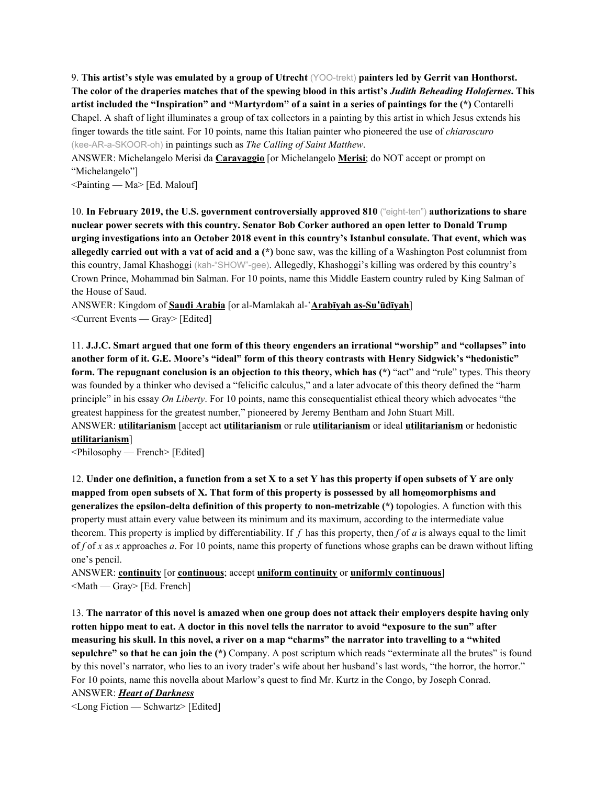9. **This artist's style was emulated by a group of Utrecht** (YOO-trekt) **painters led by Gerrit van Honthorst.** The color of the draperies matches that of the spewing blood in this artist's Judith Beheading Holofernes. This artist included the "Inspiration" and "Martyrdom" of a saint in a series of paintings for the (\*) Contarelli Chapel. A shaft of light illuminates a group of tax collectors in a painting by this artist in which Jesus extends his finger towards the title saint. For 10 points, name this Italian painter who pioneered the use of *chiaroscuro* (kee-AR-a-SKOOR-oh) in paintings such as *The Calling of Saint Matthew*.

ANSWER: Michelangelo Merisi da **Caravaggio** [or Michelangelo **Merisi**; do NOT accept or prompt on "Michelangelo"]

<Painting — Ma> [Ed. Malouf]

10. **In February 2019, the U.S. government controversially approved 810** ("eight-ten") **authorizations to share nuclear power secrets with this country. Senator Bob Corker authored an open letter to Donald Trump urging investigations into an October 2018 event in this country's Istanbul consulate. That event, which was allegedly carried out with a vat of acid and a (\*)** bone saw, was the killing of a Washington Post columnist from this country, Jamal Khashoggi (kah-"SHOW"-gee). Allegedly, Khashoggi's killing was ordered by this country's Crown Prince, Mohammad bin Salman. For 10 points, name this Middle Eastern country ruled by King Salman of the House of Saud.

ANSWER: Kingdom of **Saudi Arabia** [or al-Mamlakah al-ʻ**Arabīyah as-Su**ʻ**ūdīyah**] <Current Events — Gray> [Edited]

11. **J.J.C. Smart argued that one form of this theory engenders an irrational "worship" and "collapses" into another form of it. G.E. Moore's "ideal" form of this theory contrasts with Henry Sidgwick's "hedonistic" form. The repugnant conclusion is an objection to this theory, which has (\*)** "act" and "rule" types. This theory was founded by a thinker who devised a "felicific calculus," and a later advocate of this theory defined the "harm principle" in his essay *On Liberty*. For 10 points, name this consequentialist ethical theory which advocates "the greatest happiness for the greatest number," pioneered by Jeremy Bentham and John Stuart Mill.

ANSWER: **utilitarianism** [accept act **utilitarianism** or rule **utilitarianism** or ideal **utilitarianism** or hedonistic **utilitarianism**]

<Philosophy — French> [Edited]

12. Under one definition, a function from a set X to a set Y has this property if open subsets of Y are only **mapped from open subsets of X. That form of this property is possessed by all homeomorphisms and generalizes the epsilon-delta definition of this property to non-metrizable (\*)** topologies. A function with this property must attain every value between its minimum and its maximum, according to the intermediate value theorem. This property is implied by differentiability. If *f* has this property, then *f* of *a* is always equal to the limit of *f* of *x* as *x* approaches *a*. For 10 points, name this property of functions whose graphs can be drawn without lifting one's pencil.

ANSWER: **continuity** [or **continuous**; accept **uniform continuity** or **uniformly continuous**]  $\leq$ Math — Gray> [Ed. French]

13. The narrator of this novel is amazed when one group does not attack their employers despite having only rotten hippo meat to eat. A doctor in this novel tells the narrator to avoid "exposure to the sun" after measuring his skull. In this novel, a river on a map "charms" the narrator into travelling to a "whited **sepulchre" so that he can join the (\*)** Company. A post scriptum which reads "exterminate all the brutes" is found by this novel's narrator, who lies to an ivory trader's wife about her husband's last words, "the horror, the horror." For 10 points, name this novella about Marlow's quest to find Mr. Kurtz in the Congo, by Joseph Conrad.

#### ANSWER: *Heart of Darkness*

<Long Fiction — Schwartz> [Edited]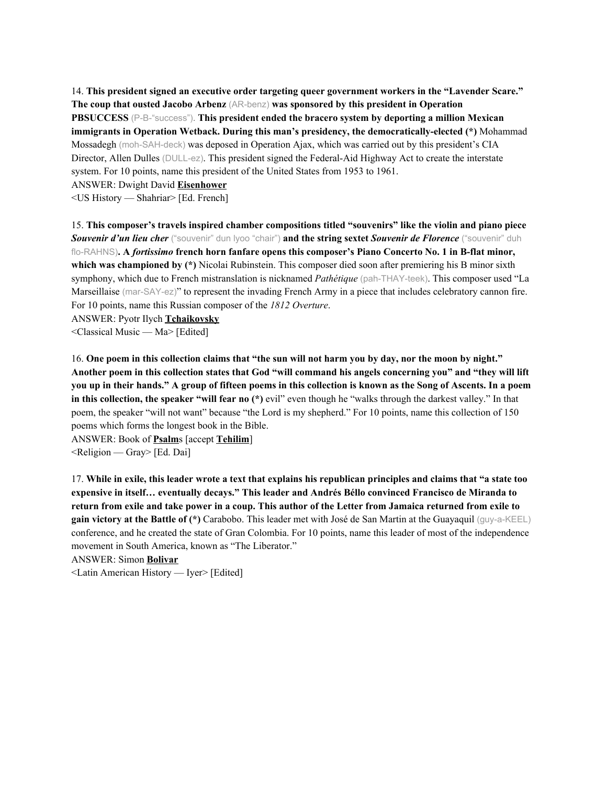14. **This president signed an executive order targeting queer government workers in the "Lavender Scare." The coup that ousted Jacobo Arbenz** (AR-benz) **was sponsored by this president in Operation PBSUCCESS** (P-B-"success"). **This president ended the bracero system by deporting a million Mexican immigrants in Operation Wetback. During this man's presidency, the democratically-elected (\*)** Mohammad Mossadegh (moh-SAH-deck) was deposed in Operation Ajax, which was carried out by this president's CIA Director, Allen Dulles (DULL-ez). This president signed the Federal-Aid Highway Act to create the interstate system. For 10 points, name this president of the United States from 1953 to 1961.

ANSWER: Dwight David **Eisenhower**

<US History — Shahriar> [Ed. French]

15. **This composer's travels inspired chamber compositions titled "souvenirs" like the violin and piano piece** *Souvenir d'un lieu cher* ("souvenir" dun lyoo "chair") **and the string sextet** *Souvenir de Florence* ("souvenir" duh flo-RAHNS)**. A** *fortissimo* **french horn fanfare opens this composer's Piano Concerto No. 1 in B-flat minor, which was championed by (\*)** Nicolai Rubinstein. This composer died soon after premiering his B minor sixth symphony, which due to French mistranslation is nicknamed *Pathétique* (pah-THAY-teek). This composer used "La Marseillaise (mar-SAY-ez)" to represent the invading French Army in a piece that includes celebratory cannon fire. For 10 points, name this Russian composer of the *1812 Overture*.

ANSWER: Pyotr Ilych **Tchaikovsky**

<Classical Music — Ma> [Edited]

16. One poem in this collection claims that "the sun will not harm you by day, nor the moon by night." Another poem in this collection states that God "will command his angels concerning you" and "they will lift you up in their hands." A group of fifteen poems in this collection is known as the Song of Ascents. In a poem **in this collection, the speaker "will fear no (\*)** evil" even though he "walks through the darkest valley." In that poem, the speaker "will not want" because "the Lord is my shepherd." For 10 points, name this collection of 150 poems which forms the longest book in the Bible.

ANSWER: Book of **Psalm**s [accept **Tehilim**]  $\leq$ Religion — Gray> [Ed. Dai]

17. While in exile, this leader wrote a text that explains his republican principles and claims that "a state too **expensive in itself… eventually decays." This leader and Andrés Béllo convinced Francisco de Miranda to** return from exile and take power in a coup. This author of the Letter from Jamaica returned from exile to **gain victory at the Battle of (\*)** Carabobo. This leader met with José de San Martin at the Guayaquil (guy-a-KEEL) conference, and he created the state of Gran Colombia. For 10 points, name this leader of most of the independence movement in South America, known as "The Liberator."

ANSWER: Simon **Bolivar**

<Latin American History — Iyer> [Edited]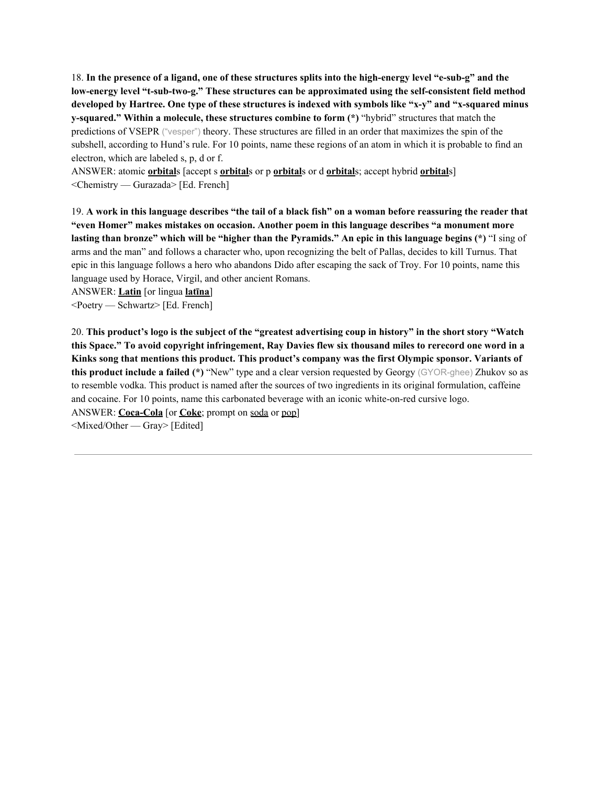18. In the presence of a ligand, one of these structures splits into the high-energy level "e-sub-g" and the **low-energy level "t-sub-two-g." These structures can be approximated using the self-consistent field method** developed by Hartree. One type of these structures is indexed with symbols like "x-y" and "x-squared minus **y-squared." Within a molecule, these structures combine to form (\*)** "hybrid" structures that match the predictions of VSEPR ("vesper") theory. These structures are filled in an order that maximizes the spin of the subshell, according to Hund's rule. For 10 points, name these regions of an atom in which it is probable to find an electron, which are labeled s, p, d or f.

ANSWER: atomic **orbital**s [accept s **orbital**s or p **orbital**s or d **orbital**s; accept hybrid **orbital**s] <Chemistry — Gurazada> [Ed. French]

19. A work in this language describes "the tail of a black fish" on a woman before reassuring the reader that **"even Homer" makes mistakes on occasion. Another poem in this language describes "a monument more** lasting than bronze" which will be "higher than the Pyramids." An epic in this language begins (\*) "I sing of arms and the man" and follows a character who, upon recognizing the belt of Pallas, decides to kill Turnus. That epic in this language follows a hero who abandons Dido after escaping the sack of Troy. For 10 points, name this language used by Horace, Virgil, and other ancient Romans.

ANSWER: **Latin** [or lingua **latīna**]

<Poetry — Schwartz> [Ed. French]

20. This product's logo is the subject of the "greatest advertising coup in history" in the short story "Watch this Space." To avoid copyright infringement, Ray Davies flew six thousand miles to rerecord one word in a **Kinks song that mentions this product. This product's company was the first Olympic sponsor. Variants of this product include a failed (\*)** "New" type and a clear version requested by Georgy (GYOR-ghee) Zhukov so as to resemble vodka. This product is named after the sources of two ingredients in its original formulation, caffeine and cocaine. For 10 points, name this carbonated beverage with an iconic white-on-red cursive logo. ANSWER: **Coca-Cola** [or **Coke**; prompt on soda or pop] <Mixed/Other — Gray> [Edited]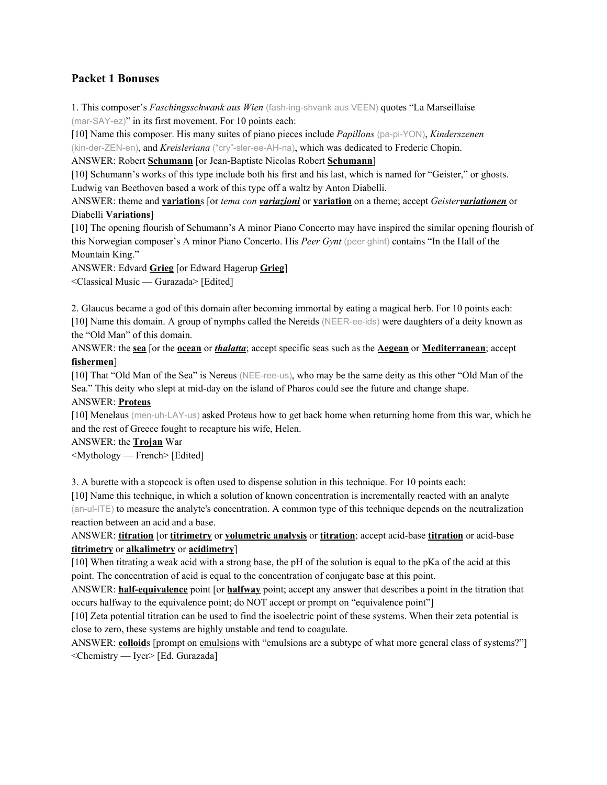## **Packet 1 Bonuses**

1. This composer's *Faschingsschwank aus Wien* (fash-ing-shvank aus VEEN) quotes "La Marseillaise (mar-SAY-ez)" in its first movement. For 10 points each:

[10] Name this composer. His many suites of piano pieces include *Papillons* (pa-pi-YON), *Kinderszenen* (kin-der-ZEN-en), and *Kreisleriana* ("cry"-sler-ee-AH-na), which was dedicated to Frederic Chopin.

ANSWER: Robert **Schumann** [or Jean-Baptiste Nicolas Robert **Schumann**]

[10] Schumann's works of this type include both his first and his last, which is named for "Geister," or ghosts. Ludwig van Beethoven based a work of this type off a waltz by Anton Diabelli.

ANSWER: theme and **variation**s [or *tema con variazioni* or **variation** on a theme; accept *Geistervariationen* or Diabelli **Variations**]

[10] The opening flourish of Schumann's A minor Piano Concerto may have inspired the similar opening flourish of this Norwegian composer's A minor Piano Concerto. His *Peer Gynt* (peer ghint) contains "In the Hall of the Mountain King."

ANSWER: Edvard **Grieg** [or Edward Hagerup **Grieg**]

<Classical Music — Gurazada> [Edited]

2. Glaucus became a god of this domain after becoming immortal by eating a magical herb. For 10 points each: [10] Name this domain. A group of nymphs called the Nereids (NEER-ee-ids) were daughters of a deity known as the "Old Man" of this domain.

ANSWER: the **sea** [or the **ocean** or *thalatta*; accept specific seas such as the **Aegean** or **Mediterranean**; accept **fishermen**]

[10] That "Old Man of the Sea" is Nereus (NEE-ree-us), who may be the same deity as this other "Old Man of the Sea." This deity who slept at mid-day on the island of Pharos could see the future and change shape.

ANSWER: **Proteus**

[10] Menelaus (men-uh-LAY-us) asked Proteus how to get back home when returning home from this war, which he and the rest of Greece fought to recapture his wife, Helen.

ANSWER: the **Trojan** War

<Mythology — French> [Edited]

3. A burette with a stopcock is often used to dispense solution in this technique. For 10 points each:

[10] Name this technique, in which a solution of known concentration is incrementally reacted with an analyte (an-ul-ITE) to measure the analyte's concentration. A common type of this technique depends on the neutralization reaction between an acid and a base.

ANSWER: **titration** [or **titrimetry** or **volumetric analysis** or **titration**; accept acid-base **titration** or acid-base **titrimetry** or **alkalimetry** or **acidimetry**]

[10] When titrating a weak acid with a strong base, the pH of the solution is equal to the pKa of the acid at this point. The concentration of acid is equal to the concentration of conjugate base at this point.

ANSWER: **half-equivalence** point [or **halfway** point; accept any answer that describes a point in the titration that occurs halfway to the equivalence point; do NOT accept or prompt on "equivalence point"]

[10] Zeta potential titration can be used to find the isoelectric point of these systems. When their zeta potential is close to zero, these systems are highly unstable and tend to coagulate.

ANSWER: **colloid**s [prompt on emulsions with "emulsions are a subtype of what more general class of systems?"] <Chemistry — Iyer> [Ed. Gurazada]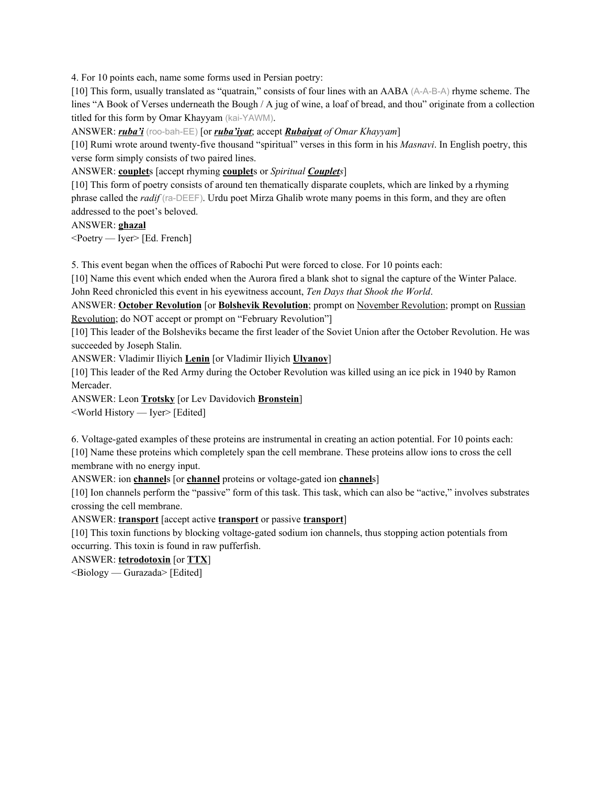4. For 10 points each, name some forms used in Persian poetry:

[10] This form, usually translated as "quatrain," consists of four lines with an AABA (A-A-B-A) rhyme scheme. The lines "A Book of Verses underneath the Bough / A jug of wine, a loaf of bread, and thou" originate from a collection titled for this form by Omar Khayyam (kai-YAWM).

ANSWER: *ruba'i* (roo-bah-EE) [or *ruba'iyat*; accept *Rubaiyat of Omar Khayyam*]

[10] Rumi wrote around twenty-five thousand "spiritual" verses in this form in his *Masnavi*. In English poetry, this verse form simply consists of two paired lines.

ANSWER: **couplet**s [accept rhyming **couplet**s or *Spiritual Couplets*]

[10] This form of poetry consists of around ten thematically disparate couplets, which are linked by a rhyming phrase called the *radif* (ra-DEEF). Urdu poet Mirza Ghalib wrote many poems in this form, and they are often addressed to the poet's beloved.

ANSWER: **ghazal**

<Poetry — Iyer> [Ed. French]

5. This event began when the offices of Rabochi Put were forced to close. For 10 points each:

[10] Name this event which ended when the Aurora fired a blank shot to signal the capture of the Winter Palace. John Reed chronicled this event in his eyewitness account, *Ten Days that Shook the World*.

ANSWER: **October Revolution** [or **Bolshevik Revolution**; prompt on November Revolution; prompt on Russian Revolution; do NOT accept or prompt on "February Revolution"]

[10] This leader of the Bolsheviks became the first leader of the Soviet Union after the October Revolution. He was succeeded by Joseph Stalin.

ANSWER: Vladimir Iliyich **Lenin** [or Vladimir Iliyich **Ulyanov**]

[10] This leader of the Red Army during the October Revolution was killed using an ice pick in 1940 by Ramon Mercader.

ANSWER: Leon **Trotsky** [or Lev Davidovich **Bronstein**]

<World History — Iyer> [Edited]

6. Voltage-gated examples of these proteins are instrumental in creating an action potential. For 10 points each: [10] Name these proteins which completely span the cell membrane. These proteins allow ions to cross the cell membrane with no energy input.

ANSWER: ion **channel**s [or **channel** proteins or voltage-gated ion **channel**s]

[10] Ion channels perform the "passive" form of this task. This task, which can also be "active," involves substrates crossing the cell membrane.

ANSWER: **transport** [accept active **transport** or passive **transport**]

[10] This toxin functions by blocking voltage-gated sodium ion channels, thus stopping action potentials from occurring. This toxin is found in raw pufferfish.

ANSWER: **tetrodotoxin** [or **TTX**]

<Biology — Gurazada> [Edited]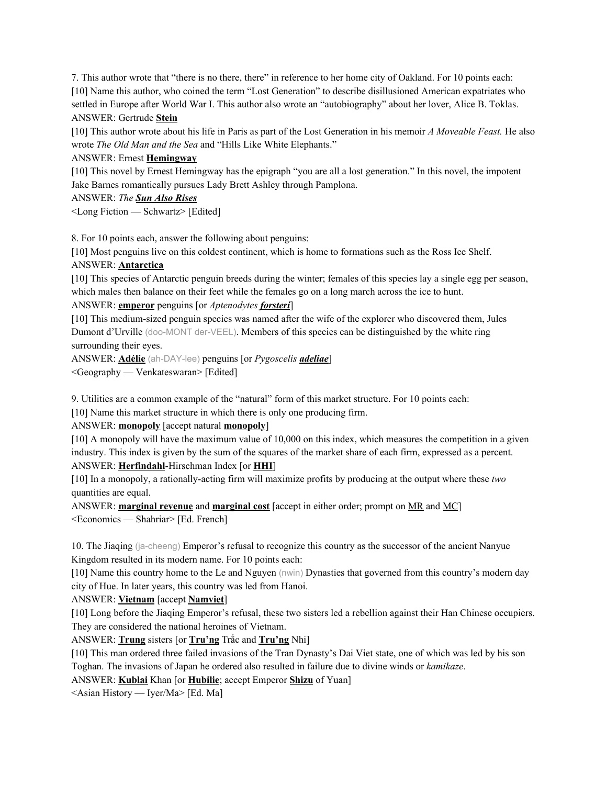7. This author wrote that "there is no there, there" in reference to her home city of Oakland. For 10 points each: [10] Name this author, who coined the term "Lost Generation" to describe disillusioned American expatriates who settled in Europe after World War I. This author also wrote an "autobiography" about her lover, Alice B. Toklas. ANSWER: Gertrude **Stein**

[10] This author wrote about his life in Paris as part of the Lost Generation in his memoir *A Moveable Feast.* He also wrote *The Old Man and the Sea* and "Hills Like White Elephants."

## ANSWER: Ernest **Hemingway**

[10] This novel by Ernest Hemingway has the epigraph "you are all a lost generation." In this novel, the impotent Jake Barnes romantically pursues Lady Brett Ashley through Pamplona.

## ANSWER: *The Sun Also Rises*

<Long Fiction — Schwartz> [Edited]

8. For 10 points each, answer the following about penguins:

[10] Most penguins live on this coldest continent, which is home to formations such as the Ross Ice Shelf.

## ANSWER: **Antarctica**

[10] This species of Antarctic penguin breeds during the winter; females of this species lay a single egg per season, which males then balance on their feet while the females go on a long march across the ice to hunt.

## ANSWER: **emperor** penguins [or *Aptenodytes forsteri*]

[10] This medium-sized penguin species was named after the wife of the explorer who discovered them, Jules Dumont d'Urville (doo-MONT der-VEEL). Members of this species can be distinguished by the white ring surrounding their eyes.

ANSWER: **Adélie** (ah-DAY-lee) penguins [or *Pygoscelis adeliae*] <Geography — Venkateswaran> [Edited]

9. Utilities are a common example of the "natural" form of this market structure. For 10 points each:

[10] Name this market structure in which there is only one producing firm.

ANSWER: **monopoly** [accept natural **monopoly**]

[10] A monopoly will have the maximum value of 10,000 on this index, which measures the competition in a given industry. This index is given by the sum of the squares of the market share of each firm, expressed as a percent.

## ANSWER: **Herfindahl**-Hirschman Index [or **HHI**]

[10] In a monopoly, a rationally-acting firm will maximize profits by producing at the output where these *two* quantities are equal.

ANSWER: **marginal revenue** and **marginal cost** [accept in either order; prompt on MR and MC] <Economics — Shahriar> [Ed. French]

10. The Jiaqing (ja-cheeng) Emperor's refusal to recognize this country as the successor of the ancient Nanyue Kingdom resulted in its modern name. For 10 points each:

[10] Name this country home to the Le and Nguyen (nwin) Dynasties that governed from this country's modern day city of Hue. In later years, this country was led from Hanoi.

ANSWER: **Vietnam** [accept **Namviet**]

[10] Long before the Jiaqing Emperor's refusal, these two sisters led a rebellion against their Han Chinese occupiers. They are considered the national heroines of Vietnam.

ANSWER: **Trung** sisters [or **Tru'ng** Trắc and **Tru'ng** Nhi]

[10] This man ordered three failed invasions of the Tran Dynasty's Dai Viet state, one of which was led by his son Toghan. The invasions of Japan he ordered also resulted in failure due to divine winds or *kamikaze*.

ANSWER: **Kublai** Khan [or **Hubilie**; accept Emperor **Shizu** of Yuan]

<Asian History — Iyer/Ma> [Ed. Ma]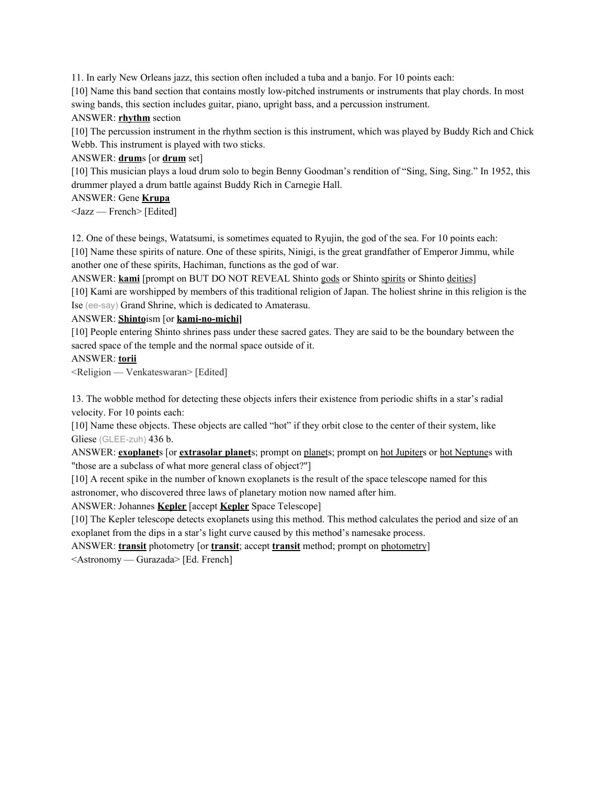11. In early New Orleans jazz, this section often included a tuba and a banjo. For 10 points each:

[10] Name this band section that contains mostly low-pitched instruments or instruments that play chords. In most swing bands, this section includes guitar, piano, upright bass, and a percussion instrument.

### ANSWER: **rhythm** section

[10] The percussion instrument in the rhythm section is this instrument, which was played by Buddy Rich and Chick Webb. This instrument is played with two sticks.

## ANSWER: **drum**s [or **drum** set]

[10] This musician plays a loud drum solo to begin Benny Goodman's rendition of "Sing, Sing, Sing." In 1952, this drummer played a drum battle against Buddy Rich in Carnegie Hall.

## ANSWER: Gene **Krupa**

<Jazz — French> [Edited]

12. One of these beings, Watatsumi, is sometimes equated to Ryujin, the god of the sea. For 10 points each:

[10] Name these spirits of nature. One of these spirits, Ninigi, is the great grandfather of Emperor Jimmu, while another one of these spirits, Hachiman, functions as the god of war.

ANSWER: **kami** [prompt on BUT DO NOT REVEAL Shinto gods or Shinto spirits or Shinto deities] [10] Kami are worshipped by members of this traditional religion of Japan. The holiest shrine in this religion is the Ise (ee-say) Grand Shrine, which is dedicated to Amaterasu.

## ANSWER: **Shinto**ism [or **kami-no-michi]**

[10] People entering Shinto shrines pass under these sacred gates. They are said to be the boundary between the sacred space of the temple and the normal space outside of it.

#### ANSWER: **torii**

<Religion — Venkateswaran> [Edited]

13. The wobble method for detecting these objects infers their existence from periodic shifts in a star's radial velocity. For 10 points each:

[10] Name these objects. These objects are called "hot" if they orbit close to the center of their system, like Gliese (GLEE-zuh) 436 b.

ANSWER: **exoplanet**s [or **extrasolar planet**s; prompt on planets; prompt on hot Jupiters or hot Neptunes with "those are a subclass of what more general class of object?"]

[10] A recent spike in the number of known exoplanets is the result of the space telescope named for this astronomer, who discovered three laws of planetary motion now named after him.

ANSWER: Johannes **Kepler** [accept **Kepler** Space Telescope]

[10] The Kepler telescope detects exoplanets using this method. This method calculates the period and size of an exoplanet from the dips in a star's light curve caused by this method's namesake process.

ANSWER: **transit** photometry [or **transit**; accept **transit** method; prompt on photometry]

<Astronomy — Gurazada> [Ed. French]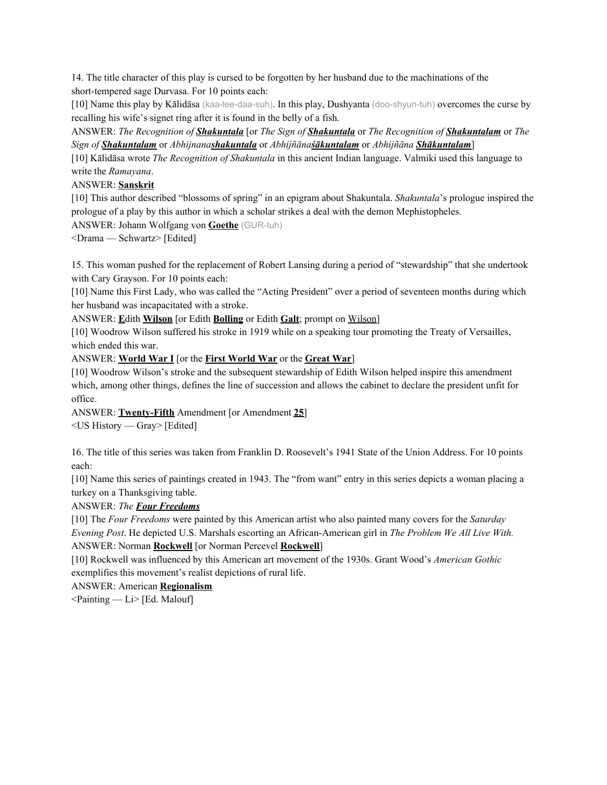14. The title character of this play is cursed to be forgotten by her husband due to the machinations of the short-tempered sage Durvasa. For 10 points each:

[10] Name this play by Kālidāsa (kaa-lee-daa-suh). In this play, Dushyanta (doo-shyun-tuh) overcomes the curse by recalling his wife's signet ring after it is found in the belly of a fish.

ANSWER: *The Recognition of Shakuntala* [or *The Sign of Shakuntala* or *The Recognition of Shakuntalam* or *The Sign of Shakuntalam* or *Abhijnanashakuntala* or *Abhijñānaśākuntalam* or *Abhijñāna Shākuntalam*]

[10] Kālidāsa wrote *The Recognition of Shakuntala* in this ancient Indian language. Valmiki used this language to write the *Ramayana*.

ANSWER: **Sanskrit**

[10] This author described "blossoms of spring" in an epigram about Shakuntala. *Shakuntala*'s prologue inspired the prologue of a play by this author in which a scholar strikes a deal with the demon Mephistopheles.

ANSWER: Johann Wolfgang von **Goethe** (GUR-tuh)

<Drama — Schwartz> [Edited]

15. This woman pushed for the replacement of Robert Lansing during a period of "stewardship" that she undertook with Cary Grayson. For 10 points each:

[10] Name this First Lady, who was called the "Acting President" over a period of seventeen months during which her husband was incapacitated with a stroke.

ANSWER: **E**dith **Wilson** [or Edith **Bolling** or Edith **Galt**; prompt on Wilson]

[10] Woodrow Wilson suffered his stroke in 1919 while on a speaking tour promoting the Treaty of Versailles, which ended this war.

ANSWER: **World War I** [or the **First World War** or the **Great War**]

[10] Woodrow Wilson's stroke and the subsequent stewardship of Edith Wilson helped inspire this amendment which, among other things, defines the line of succession and allows the cabinet to declare the president unfit for office.

ANSWER: **Twenty-Fifth** Amendment [or Amendment **25**]

<US History — Gray> [Edited]

16. The title of this series was taken from Franklin D. Roosevelt's 1941 State of the Union Address. For 10 points each:

[10] Name this series of paintings created in 1943. The "from want" entry in this series depicts a woman placing a turkey on a Thanksgiving table.

ANSWER: *The Four Freedoms*

[10] The *Four Freedoms* were painted by this American artist who also painted many covers for the *Saturday Evening Post*. He depicted U.S. Marshals escorting an African-American girl in *The Problem We All Live With.* ANSWER: Norman **Rockwell** [or Norman Percevel **Rockwell**]

[10] Rockwell was influenced by this American art movement of the 1930s. Grant Wood's *American Gothic* exemplifies this movement's realist depictions of rural life.

ANSWER: American **Regionalism**

<Painting — Li> [Ed. Malouf]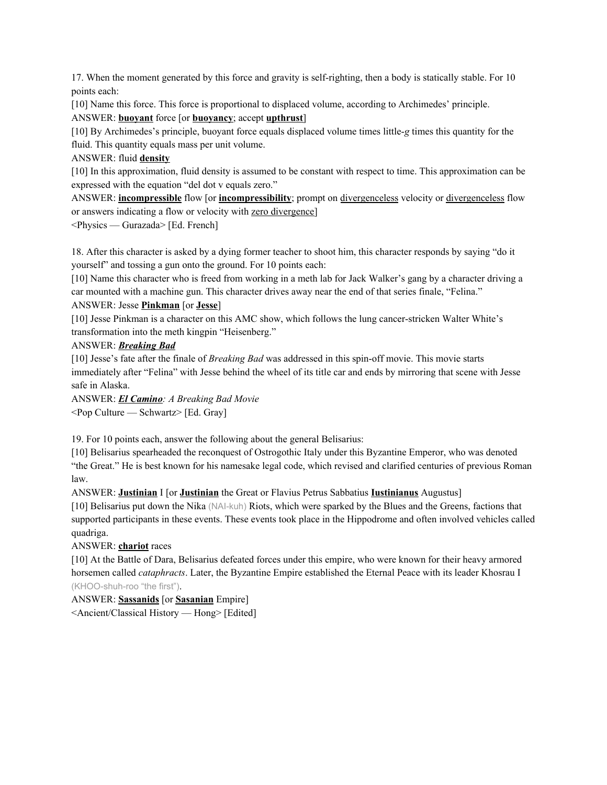17. When the moment generated by this force and gravity is self-righting, then a body is statically stable. For 10 points each:

[10] Name this force. This force is proportional to displaced volume, according to Archimedes' principle. ANSWER: **buoyant** force [or **buoyancy**; accept **upthrust**]

[10] By Archimedes's principle, buoyant force equals displaced volume times little-*g* times this quantity for the fluid. This quantity equals mass per unit volume.

ANSWER: fluid **density**

[10] In this approximation, fluid density is assumed to be constant with respect to time. This approximation can be expressed with the equation "del dot v equals zero."

ANSWER: **incompressible** flow [or **incompressibility**; prompt on divergenceless velocity or divergenceless flow or answers indicating a flow or velocity with zero divergence]

<Physics — Gurazada> [Ed. French]

18. After this character is asked by a dying former teacher to shoot him, this character responds by saying "do it yourself" and tossing a gun onto the ground. For 10 points each:

[10] Name this character who is freed from working in a meth lab for Jack Walker's gang by a character driving a car mounted with a machine gun. This character drives away near the end of that series finale, "Felina."

#### ANSWER: Jesse **Pinkman** [or **Jesse**]

[10] Jesse Pinkman is a character on this AMC show, which follows the lung cancer-stricken Walter White's transformation into the meth kingpin "Heisenberg."

## ANSWER: *Breaking Bad*

[10] Jesse's fate after the finale of *Breaking Bad* was addressed in this spin-off movie. This movie starts immediately after "Felina" with Jesse behind the wheel of its title car and ends by mirroring that scene with Jesse safe in Alaska.

ANSWER: *El Camino: A Breaking Bad Movie* <Pop Culture — Schwartz> [Ed. Gray]

19. For 10 points each, answer the following about the general Belisarius:

[10] Belisarius spearheaded the reconquest of Ostrogothic Italy under this Byzantine Emperor, who was denoted "the Great." He is best known for his namesake legal code, which revised and clarified centuries of previous Roman law.

ANSWER: **Justinian** I [or **Justinian** the Great or Flavius Petrus Sabbatius **Iustinianus** Augustus]

[10] Belisarius put down the Nika (NAI-kuh) Riots, which were sparked by the Blues and the Greens, factions that supported participants in these events. These events took place in the Hippodrome and often involved vehicles called quadriga.

## ANSWER: **chariot** races

[10] At the Battle of Dara, Belisarius defeated forces under this empire, who were known for their heavy armored horsemen called *cataphracts*. Later, the Byzantine Empire established the Eternal Peace with its leader Khosrau I (KHOO-shuh-roo "the first").

ANSWER: **Sassanids** [or **Sasanian** Empire]

<Ancient/Classical History — Hong> [Edited]